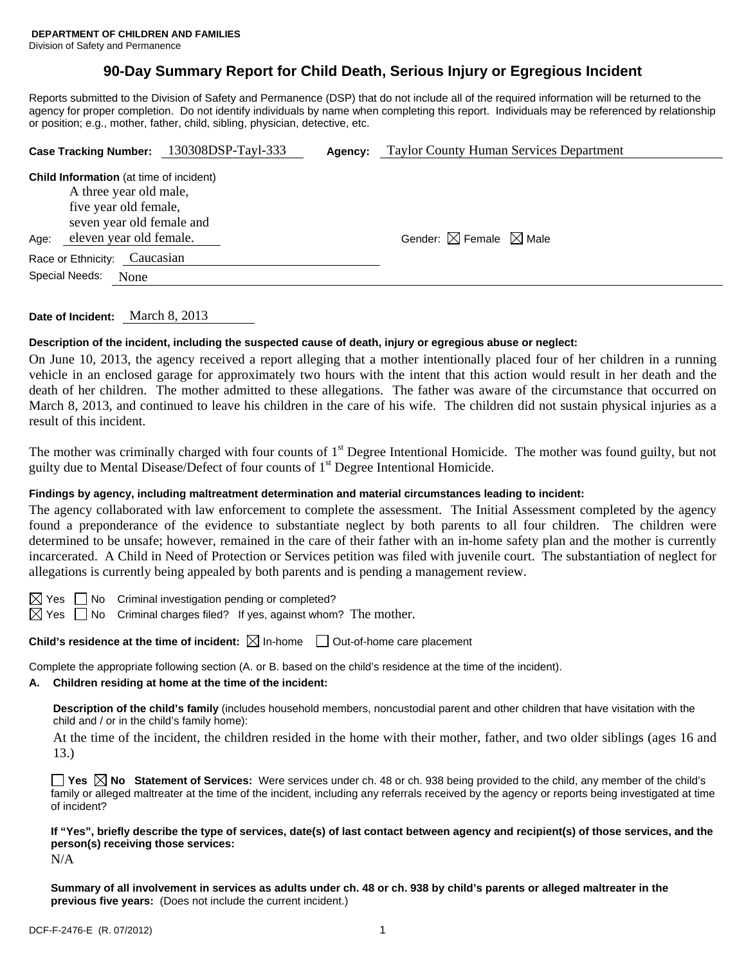# **90-Day Summary Report for Child Death, Serious Injury or Egregious Incident**

Reports submitted to the Division of Safety and Permanence (DSP) that do not include all of the required information will be returned to the agency for proper completion. Do not identify individuals by name when completing this report. Individuals may be referenced by relationship or position; e.g., mother, father, child, sibling, physician, detective, etc.

|                    |                                                                                                                                                           | Case Tracking Number: 130308DSP-Tayl-333 | Agency: | <b>Taylor County Human Services Department</b> |  |
|--------------------|-----------------------------------------------------------------------------------------------------------------------------------------------------------|------------------------------------------|---------|------------------------------------------------|--|
| Age:               | <b>Child Information</b> (at time of incident)<br>A three year old male,<br>five year old female,<br>seven year old female and<br>eleven year old female. |                                          |         | Gender: $\boxtimes$ Female $\boxtimes$ Male    |  |
| Race or Ethnicity: | Caucasian                                                                                                                                                 |                                          |         |                                                |  |
| Special Needs:     | None                                                                                                                                                      |                                          |         |                                                |  |
|                    |                                                                                                                                                           |                                          |         |                                                |  |

**Date of Incident:** March 8, 2013

## **Description of the incident, including the suspected cause of death, injury or egregious abuse or neglect:**

On June 10, 2013, the agency received a report alleging that a mother intentionally placed four of her children in a running vehicle in an enclosed garage for approximately two hours with the intent that this action would result in her death and the death of her children. The mother admitted to these allegations. The father was aware of the circumstance that occurred on March 8, 2013, and continued to leave his children in the care of his wife. The children did not sustain physical injuries as a result of this incident.

The mother was criminally charged with four counts of 1<sup>st</sup> Degree Intentional Homicide. The mother was found guilty, but not guilty due to Mental Disease/Defect of four counts of  $1<sup>st</sup>$  Degree Intentional Homicide.

## **Findings by agency, including maltreatment determination and material circumstances leading to incident:**

The agency collaborated with law enforcement to complete the assessment. The Initial Assessment completed by the agency found a preponderance of the evidence to substantiate neglect by both parents to all four children. The children were determined to be unsafe; however, remained in the care of their father with an in-home safety plan and the mother is currently incarcerated. A Child in Need of Protection or Services petition was filed with juvenile court. The substantiation of neglect for allegations is currently being appealed by both parents and is pending a management review.



 $\boxtimes$  Yes  $\Box$  No Criminal investigation pending or completed?

 $\boxtimes$  Yes  $\Box$  No Criminal charges filed? If yes, against whom? The mother.

### **Child's residence at the time of incident:**  $\boxtimes$  In-home  $\Box$  Out-of-home care placement

Complete the appropriate following section (A. or B. based on the child's residence at the time of the incident).

### **A. Children residing at home at the time of the incident:**

**Description of the child's family** (includes household members, noncustodial parent and other children that have visitation with the child and / or in the child's family home):

 At the time of the incident, the children resided in the home with their mother, father, and two older siblings (ages 16 and 13.)

**Yes No Statement of Services:** Were services under ch. 48 or ch. 938 being provided to the child, any member of the child's family or alleged maltreater at the time of the incident, including any referrals received by the agency or reports being investigated at time of incident?

**If "Yes", briefly describe the type of services, date(s) of last contact between agency and recipient(s) of those services, and the person(s) receiving those services:**  N/A

**Summary of all involvement in services as adults under ch. 48 or ch. 938 by child's parents or alleged maltreater in the previous five years:** (Does not include the current incident.)